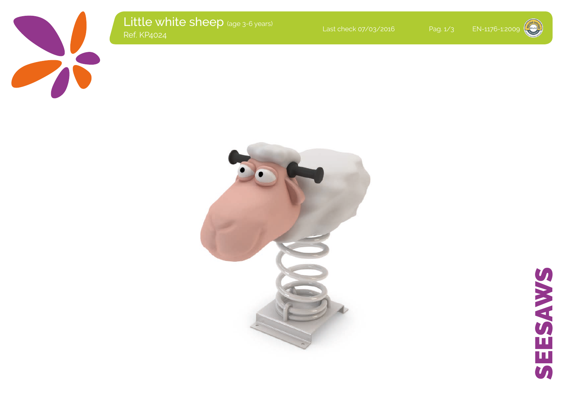

Little white sheep (age 3-6 years)<br>Ref. KP4024 Last check 07/03/2016 Pag. 1/3 EN-1176-1:2009<br>Ref. KP4024



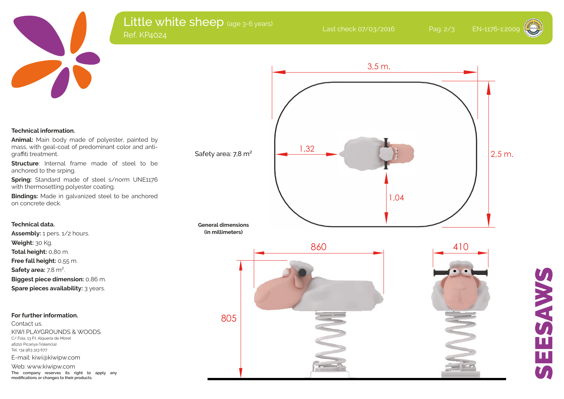

# Little white sheep (age 3-6 years) Last check 07/03/2016 Pag. 2/3 EN-1176-1:2009<br>Ref. KP4024

SEESAWS

Ц

BOAYSE

**Technical information.**

**Animal:** Main body made of polyester, painted by mass, with geal-coat of predominant color and antigraffiti treatment.

**Structure**: Internal frame made of steel to be anchored to the srping.

**Spring:** Standard made of steel s/norm UNE1176 with thermosetting polyester coating.

**Bindings:** Made in galvanized steel to be anchored on concrete deck.

## **Technical data.**

Assembly: 1 pers. 1/2 hours. **Weight:** 30 Kg. **Total height:** 0,80 m. **Free fall height:** 0,55 m. **Safety area:** 7,8 m². **Biggest piece dimension:** 0,86 m. **Spare pieces availability:** 3 years.

### **For further information.**

Contact us. KIWI PLAYGROUNDS & WOODS. C/ Foia, 13 P.I. Alqueria de Moret 46210 Picanya (Valencia) Tel. +34 963 313 677 E-mail: kiwi@kiwipw.com

Web: www.kiwipw.com **The company reserves its right to apply any modifications or changes to their products.**